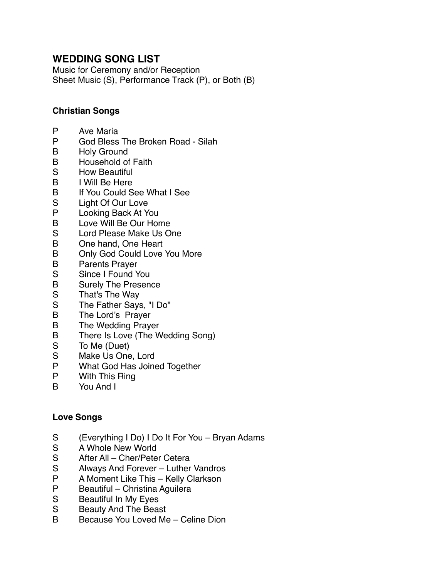## **WEDDING SONG LIST**

Music for Ceremony and/or Reception Sheet Music (S), Performance Track (P), or Both (B)

## **Christian Songs**

- P Ave Maria<br>P God Bless
- God Bless The Broken Road Silah
- B Holy Ground
- B Household of Faith
- S How Beautiful
- B I Will Be Here
- B If You Could See What I See<br>S Light Of Our Love
- Light Of Our Love
- P Looking Back At You
- B Love Will Be Our Home<br>S Lord Please Make Us O
- Lord Please Make Us One
- B One hand, One Heart
- B Only God Could Love You More
- B Parents Prayer
- S Since I Found You
- B Surely The Presence<br>S That's The Wav
- That's The Way
- S The Father Says, "I Do"
- B The Lord's Prayer<br>B The Wedding Praye
- The Wedding Prayer
- B There Is Love (The Wedding Song)
- S To Me (Duet)<br>S Make Us One
- Make Us One, Lord
- P What God Has Joined Together<br>P With This Ring
- With This Ring
- B You And I

## **Love Songs**

- S (Everything I Do) I Do It For You Bryan Adams<br>S A Whole New World
- A Whole New World
- S After All Cher/Peter Cetera<br>S Always And Forever Luther
- S Always And Forever Luther Vandros<br>P A Moment Like This Kelly Clarkson
- A Moment Like This Kelly Clarkson
- P Beautiful Christina Aguilera<br>S Beautiful In My Eves
- Beautiful In My Eyes
- S Beauty And The Beast
- B Because You Loved Me Celine Dion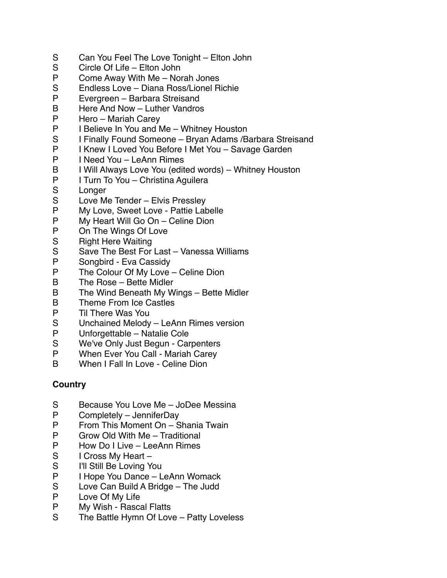- S Can You Feel The Love Tonight Elton John<br>S Circle Of Life Elton John
- S Circle Of Life Elton John<br>P Come Away With Me Nor
- Come Away With Me Norah Jones
- S Endless Love Diana Ross/Lionel Richie<br>P Evergreen Barbara Streisand
- Evergreen Barbara Streisand
- B Here And Now Luther Vandros
- P Hero Mariah Carey<br>P I Believe In You and N
- I Believe In You and Me Whitney Houston
- S I Finally Found Someone Bryan Adams /Barbara Streisand
- P I Knew I Loved You Before I Met You Savage Garden<br>P I Need You LeAnn Rimes
- I Need You LeAnn Rimes
- B I Will Always Love You (edited words) Whitney Houston
- P I Turn To You Christina Aguilera<br>S Longer
- Longer
- S Love Me Tender Elvis Pressley
- P My Love, Sweet Love Pattie Labelle<br>P My Heart Will Go On Celine Dion
- P My Heart Will Go On Celine Dion<br>P On The Wings Of Love
- On The Wings Of Love
- S Right Here Waiting<br>S Save The Best For
- S Save The Best For Last Vanessa Williams<br>P Songbird Eva Cassidy
- Songbird Eva Cassidy
- P The Colour Of My Love Celine Dion
- B The Rose Bette Midler
- B The Wind Beneath My Wings Bette Midler
- B Theme From Ice Castles
- P Til There Was You<br>S Unchained Melody
- Unchained Melody LeAnn Rimes version
- P Unforgettable Natalie Cole
- S We've Only Just Begun Carpenters<br>P When Ever You Call Mariah Carev
- When Ever You Call Mariah Carey
- B When I Fall In Love Celine Dion

## **Country**

- S Because You Love Me JoDee Messina<br>P Completely JenniferDay
- Completely JenniferDay
- P From This Moment On Shania Twain
- P Grow Old With Me Traditional<br>P How Do I Live LeeAnn Rimes
- How Do I Live LeeAnn Rimes
- S I Cross My Heart –<br>S I'll Still Be Loving Ye
- S I'll Still Be Loving You<br>P I Hope You Dance L
- I Hope You Dance LeAnn Womack
- S Love Can Build A Bridge The Judd
- P Love Of My Life<br>P My Wish Rasca
- My Wish Rascal Flatts
- S The Battle Hymn Of Love Patty Loveless